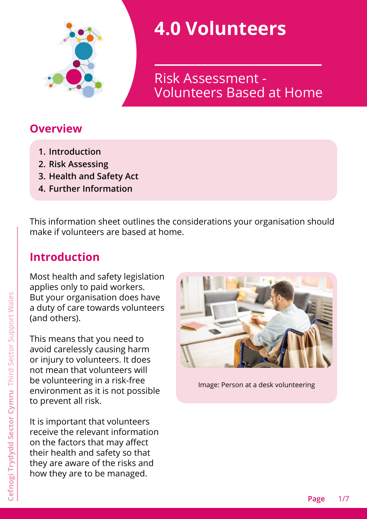

# **4.0 Volunteers**

Volunteers Based at Home Risk Assessment -

# **Overview**

- **1. [Introduction](#page-0-0)**
- **2. [Risk Assessing](#page-1-0)**
- **3. [Health and Safety Act](#page-4-0)**
- **4. [Further Information](#page-5-0)**

This information sheet outlines the considerations your organisation should make if volunteers are based at home.

# <span id="page-0-0"></span>**Introduction**

Most health and safety legislation applies only to paid workers. But your organisation does have a duty of care towards volunteers (and others).

This means that you need to avoid carelessly causing harm or injury to volunteers. It does not mean that volunteers will be volunteering in a risk-free environment as it is not possible to prevent all risk.

It is important that volunteers receive the relevant information on the factors that may affect their health and safety so that they are aware of the risks and how they are to be managed.



Image: Person at a desk volunteering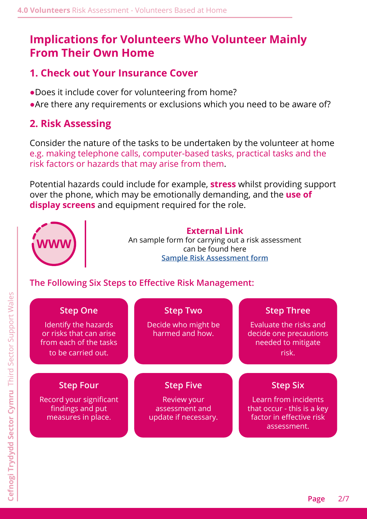# **Implications for Volunteers Who Volunteer Mainly From Their Own Home**

## **1. Check out Your Insurance Cover**

- •Does it include cover for volunteering from home?
- Are there any requirements or exclusions which you need to be aware of?

## <span id="page-1-0"></span>**2. Risk Assessing**

Consider the nature of the tasks to be undertaken by the volunteer at home e.g. making telephone calls, computer-based tasks, practical tasks and the risk factors or hazards that may arise from them.

Potential hazards could include for example, **stress** whilst providing support over the phone, which may be emotionally demanding, and the **use of display screens** and equipment required for the role.



#### **External Link**

An sample form for carrying out a risk assessment can be found here **[Sample Risk Assessment form](https://wcva.cymru/i-work-with-volunteers/)**

## **The Following Six Steps to Effective Risk Management:**

| <b>Step One</b><br>Identify the hazards<br>or risks that can arise<br>from each of the tasks<br>to be carried out. | <b>Step Two</b><br>Decide who might be<br>harmed and how.                 | <b>Step Three</b><br>Evaluate the risks and<br>decide one precautions<br>needed to mitigate<br>risk.             |
|--------------------------------------------------------------------------------------------------------------------|---------------------------------------------------------------------------|------------------------------------------------------------------------------------------------------------------|
| <b>Step Four</b><br>Record your significant<br>findings and put<br>measures in place.                              | <b>Step Five</b><br>Review your<br>assessment and<br>update if necessary. | <b>Step Six</b><br>Learn from incidents<br>that occur - this is a key<br>factor in effective risk<br>assessment. |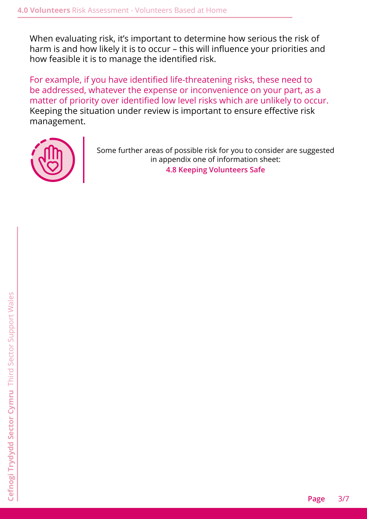When evaluating risk, it's important to determine how serious the risk of harm is and how likely it is to occur – this will influence your priorities and how feasible it is to manage the identified risk.

For example, if you have identified life-threatening risks, these need to be addressed, whatever the expense or inconvenience on your part, as a matter of priority over identified low level risks which are unlikely to occur. Keeping the situation under review is important to ensure effective risk management.



Some further areas of possible risk for you to consider are suggested in appendix one of information sheet: **4.8 Keeping Volunteers Safe**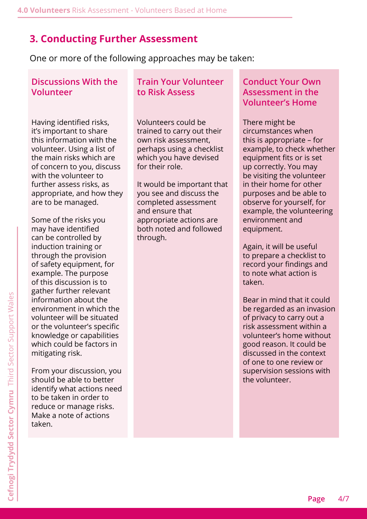## **3. Conducting Further Assessment**

One or more of the following approaches may be taken:

#### **Discussions With the Volunteer**

Having identified risks, it's important to share this information with the volunteer. Using a list of the main risks which are of concern to you, discuss with the volunteer to further assess risks, as appropriate, and how they are to be managed.

Some of the risks you may have identified can be controlled by induction training or through the provision of safety equipment, for example. The purpose of this discussion is to gather further relevant information about the environment in which the volunteer will be situated or the volunteer's specific knowledge or capabilities which could be factors in mitigating risk.

From your discussion, you should be able to better identify what actions need to be taken in order to reduce or manage risks. Make a note of actions taken.

## **Train Your Volunteer to Risk Assess**

Volunteers could be trained to carry out their own risk assessment, perhaps using a checklist which you have devised for their role.

It would be important that you see and discuss the completed assessment and ensure that appropriate actions are both noted and followed through.

## **Conduct Your Own Assessment in the Volunteer's Home**

There might be circumstances when this is appropriate – for example, to check whether equipment fits or is set up correctly. You may be visiting the volunteer in their home for other purposes and be able to observe for yourself, for example, the volunteering environment and equipment.

Again, it will be useful to prepare a checklist to record your findings and to note what action is taken.

Bear in mind that it could be regarded as an invasion of privacy to carry out a risk assessment within a volunteer's home without good reason. It could be discussed in the context of one to one review or supervision sessions with the volunteer.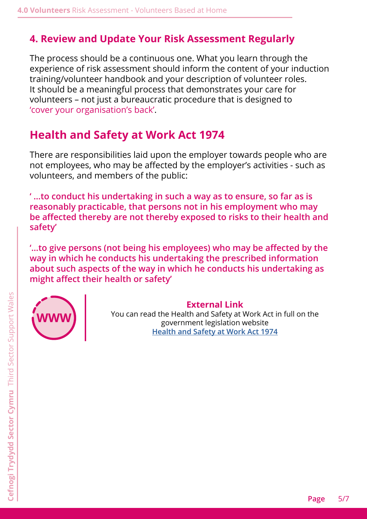## **4. Review and Update Your Risk Assessment Regularly**

The process should be a continuous one. What you learn through the experience of risk assessment should inform the content of your induction training/volunteer handbook and your description of volunteer roles. It should be a meaningful process that demonstrates your care for volunteers – not just a bureaucratic procedure that is designed to 'cover your organisation's back'.

# <span id="page-4-0"></span>**Health and Safety at Work Act 1974**

There are responsibilities laid upon the employer towards people who are not employees, who may be affected by the employer's activities - such as volunteers, and members of the public:

**' …to conduct his undertaking in such a way as to ensure, so far as is reasonably practicable, that persons not in his employment who may be affected thereby are not thereby exposed to risks to their health and safety'**

**'…to give persons (not being his employees) who may be affected by the way in which he conducts his undertaking the prescribed information about such aspects of the way in which he conducts his undertaking as might affect their health or safety'**



#### **External Link**

You can read the Health and Safety at Work Act in full on the government legislation website **[Health and Safety at Work Act 1974](http://www.legislation.gov.uk/ukpga/1974/37/contents)**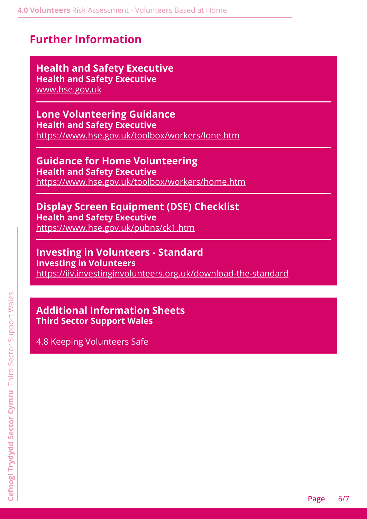# <span id="page-5-0"></span>**Further Information**

## **Health and Safety Executive Health and Safety Executive**

[www.hse.gov.uk](http://www.hse.gov.uk)

#### **Lone Volunteering Guidance Health and Safety Executive**

<https://www.hse.gov.uk/toolbox/workers/lone.htm>

**Guidance for Home Volunteering Health and Safety Executive** <https://www.hse.gov.uk/toolbox/workers/home.htm>

## **Display Screen Equipment (DSE) Checklist Health and Safety Executive**

<https://www.hse.gov.uk/pubns/ck1.htm>

#### **Investing in Volunteers - Standard Investing in Volunteers** <https://iiv.investinginvolunteers.org.uk/download-the-standard>

## **Additional Information Sheets Third Sector Support Wales**

4.8 Keeping Volunteers Safe